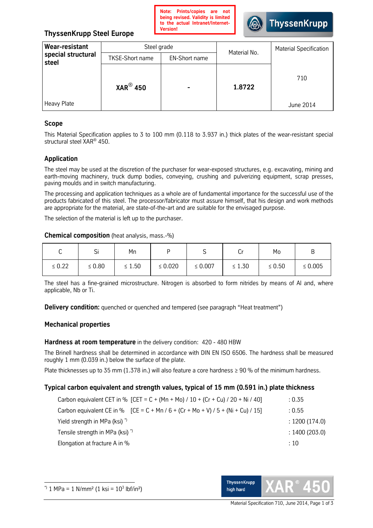

# **ThyssenKrupp Steel Europe**

| Wear-resistant<br>special structural | Steel grade            |                          | Material No. | <b>Material Specification</b> |
|--------------------------------------|------------------------|--------------------------|--------------|-------------------------------|
| steel                                | <b>TKSE-Short name</b> | <b>EN-Short name</b>     |              |                               |
|                                      | $XAR^{\circledR}$ 450  | $\overline{\phantom{0}}$ | 1.8722       | 710                           |
| Heavy Plate                          |                        |                          |              | June 2014                     |

## **Scope**

This Material Specification applies to 3 to 100 mm (0.118 to 3.937 in.) thick plates of the wear-resistant special structural steel XAR® 450.

# **Application**

The steel may be used at the discretion of the purchaser for wear-exposed structures, e.g. excavating, mining and earth-moving machinery, truck dump bodies, conveying, crushing and pulverizing equipment, scrap presses, paving moulds and in switch manufacturing.

The processing and application techniques as a whole are of fundamental importance for the successful use of the products fabricated of this steel. The processor/fabricator must assure himself, that his design and work methods are appropriate for the material, are state-of-the-art and are suitable for the envisaged purpose.

The selection of the material is left up to the purchaser.

#### **Chemical composition** (heatanalysis,mass.-%)

| ⌒<br>ັ      | <b>.</b><br>اب | Mn          |              | ັ            | ◡           | Mo          | в            |
|-------------|----------------|-------------|--------------|--------------|-------------|-------------|--------------|
| $\leq 0.22$ | $\leq 0.80$    | $\leq 1.50$ | $\leq 0.020$ | $\leq 0.007$ | $\leq 1.30$ | $\leq 0.50$ | $\leq 0.005$ |

The steel has a fine-grained microstructure. Nitrogen is absorbed to form nitrides by means of Al and, where applicable, Nb or Ti.

**Delivery condition:** quenched or quenched and tempered (see paragraph "Heat treatment")

## **Mechanical properties**

## Hardness at room temperature in the delivery condition: 420 - 480 HBW

The Brinell hardness shall be determined in accordance with DIN EN ISO 6506. The hardness shall be measured roughly 1 mm (0.039 in.) below the surface of the plate.

Plate thicknesses up to 35 mm (1.378 in.) will also feature a core hardness ≥ 90 % of the minimum hardness.

## **Typical carbon equivalent and strength values, typical of 15 mm (0.591 in.) plate thickness**

| Carbon equivalent CET in % [CET = C + (Mn + Mo) / 10 + (Cr + Cu) / 20 + Ni / 40]   | : 0.35         |
|------------------------------------------------------------------------------------|----------------|
| Carbon equivalent CE in % $[CE = C + Mn / 6 + (Cr + Mo + V) / 5 + (Ni + Cu) / 15]$ | : 0.55         |
| Yield strength in MPa (ksi) <sup>*</sup>                                           | : 1200 (174.0) |
| Tensile strength in MPa (ksi) <sup>*</sup>                                         | : 1400(203.0)  |
| Elongation at fracture A in %                                                      | : 10           |

 $\overline{a}$ 

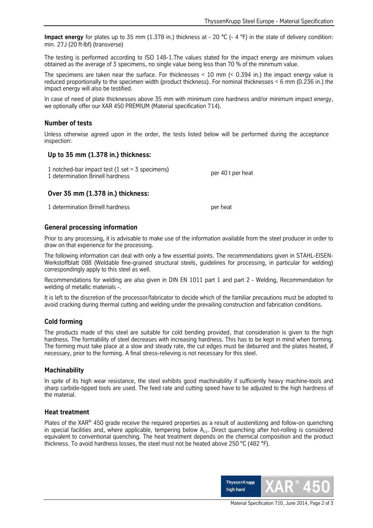**Impact energy** for plates up to 35 mm (1.378 in.) thickness at - 20 °C (- 4 °F) in the state of delivery condition: min.27J(20ft∙lbf)(transverse)

The testing is performed according to ISO 148-1. The values stated for the impact energy are minimum values obtained as the average of 3 specimens, no single value being less than 70 % of the minimum value.

The specimens are taken near the surface. For thicknesses < 10 mm(< 0.394 in.) the impact energy value is reduced proportionally to the specimen width (product thickness). For nominal thicknesses < 6 mm (0.236 in.) the impact energy will also be testified.

In case of need of plate thicknesses above 35 mm with minimum core hardness and/or minimum impact energy, we optionally offer our XAR 450 PREMIUM (Material specification 714).

## **Number of tests**

Unless otherwise agreed upon in the order, the tests listed below will be performed during the acceptance inspection:

## **Up to 35 mm (1.378 in.) thickness:**

| 1 notched-bar impact test (1 set = $3$ specimens) |                   |
|---------------------------------------------------|-------------------|
| 1 determination Brinell hardness                  | per 40 t per heat |

#### **Over 35 mm (1.378 in.) thickness:**

1 determination Brinell hardness per heat

## **General processing information**

Prior to any processing, it is advisable to make use of the information available from the steel producer in order to draw on that experience for the processing.

The following information can deal with only a few essential points. The recommendations given in STAHL-EISEN-Werkstoffblatt 088 (Weldable fine-grained structural steels, guidelines for processing, in particular for welding) correspondingly apply to this steel as well.

Recommendations for welding are also given in DIN EN 1011 part 1 and part 2 - Welding, Recommendation for welding of metallic materials -.

It is left to the discretion of the processor/fabricator to decide which of the familiar precautions must be adopted to avoid cracking during thermal cutting and welding under the prevailing construction and fabrication conditions.

#### **Cold forming**

The products made of this steel are suitable for cold bending provided, that consideration is given to the high hardness. The formability of steel decreases with increasing hardness. This has to be kept in mind when forming. The forming must take place at a slow and steady rate, the cut edges must be deburred and the plates heated, if necessary, prior to the forming. A final stress-relieving is not necessary for this steel.

#### **Machinability**

In spite of its high wear resistance, the steel exhibits good machinability if sufficiently heavy machine-tools and sharp carbide-tipped tools are used. The feed rate and cutting speed have to be adjusted to the high hardness of the material.

## **Heat treatment**

Plates of the XAR® 450 grade receive the required properties as a result of austenitizing and follow-on quenching in special facilities and, where applicable, tempering below  $A<sub>c1</sub>$ . Direct quenching after hot-rolling is considered equivalent to conventional quenching. The heat treatment depends on the chemical composition and the product thickness. To avoid hardness losses, the steel must not be heated above 250 °C (482 °F).